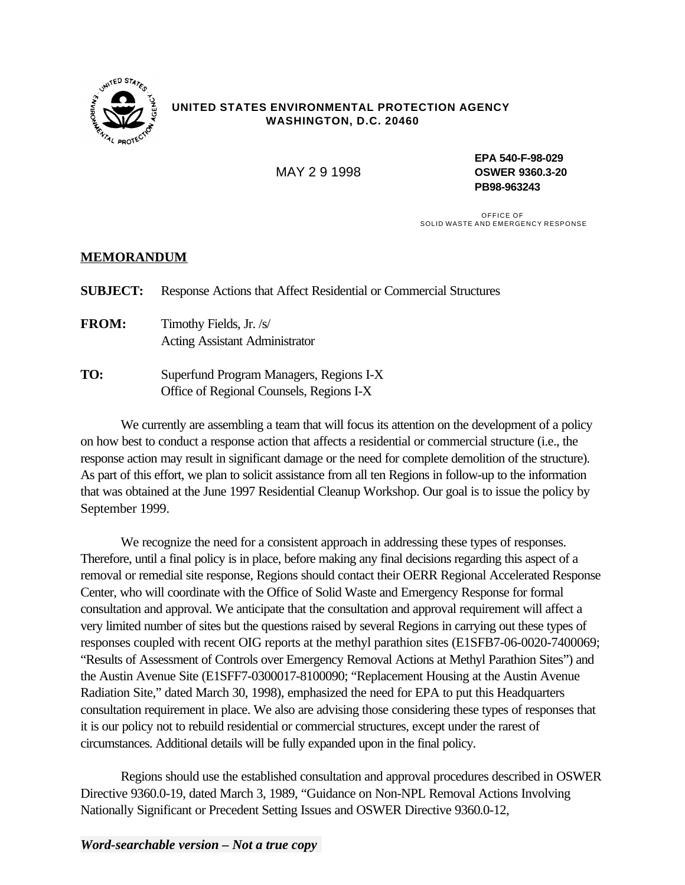

## **UNITED STATES ENVIRONMENTAL PROTECTION AGENCY WASHINGTON, D.C. 20460**

**EPA 540-F-98-029**  MAY 2 9 1998 **OSWER 9360.3-20 PB98-963243** 

> OFFICE OF SOLID WASTE AND EMERGENCY RESPONSE

## **MEMORANDUM**

**SUBJECT:** Response Actions that Affect Residential or Commercial Structures **FROM:** Timothy Fields, Jr. /s/ Acting Assistant Administrator **TO:** Superfund Program Managers, Regions I-X Office of Regional Counsels, Regions I-X

We currently are assembling a team that will focus its attention on the development of a policy on how best to conduct a response action that affects a residential or commercial structure (i.e., the response action may result in significant damage or the need for complete demolition of the structure). As part of this effort, we plan to solicit assistance from all ten Regions in follow-up to the information that was obtained at the June 1997 Residential Cleanup Workshop. Our goal is to issue the policy by September 1999.

We recognize the need for a consistent approach in addressing these types of responses. Therefore, until a final policy is in place, before making any final decisions regarding this aspect of a removal or remedial site response, Regions should contact their OERR Regional Accelerated Response Center, who will coordinate with the Office of Solid Waste and Emergency Response for formal consultation and approval. We anticipate that the consultation and approval requirement will affect a very limited number of sites but the questions raised by several Regions in carrying out these types of responses coupled with recent OIG reports at the methyl parathion sites (E1SFB7-06-0020-7400069; "Results of Assessment of Controls over Emergency Removal Actions at Methyl Parathion Sites") and the Austin Avenue Site (E1SFF7-0300017-8100090; "Replacement Housing at the Austin Avenue Radiation Site," dated March 30, 1998), emphasized the need for EPA to put this Headquarters consultation requirement in place. We also are advising those considering these types of responses that it is our policy not to rebuild residential or commercial structures, except under the rarest of circumstances. Additional details will be fully expanded upon in the final policy.

Regions should use the established consultation and approval procedures described in OSWER Directive 9360.0-19, dated March 3, 1989, "Guidance on Non-NPL Removal Actions Involving Nationally Significant or Precedent Setting Issues and OSWER Directive 9360.0-12,

*Word-searchable version – Not a true copy*